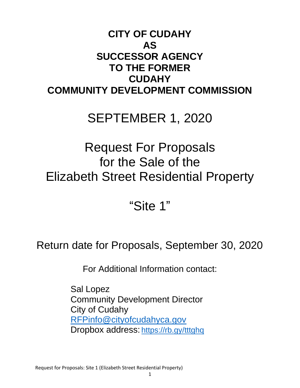## **CITY OF CUDAHY AS SUCCESSOR AGENCY TO THE FORMER CUDAHY COMMUNITY DEVELOPMENT COMMISSION**

# SEPTEMBER 1, 2020

# Request For Proposals for the Sale of the Elizabeth Street Residential Property

"Site 1"

Return date for Proposals, September 30, 2020

For Additional Information contact:

Sal Lopez Community Development Director City of Cudahy [RFPinfo@cityofcudahyca.gov](mailto:RFPinfo@cityofcudahyca.gov) Dropbox address: <https://rb.gy/tttghq>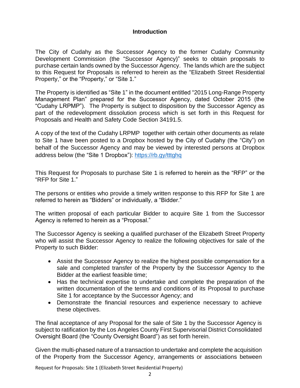#### **Introduction**

The City of Cudahy as the Successor Agency to the former Cudahy Community Development Commission (the "Successor Agency)" seeks to obtain proposals to purchase certain lands owned by the Successor Agency. The lands which are the subject to this Request for Proposals is referred to herein as the "Elizabeth Street Residential Property," or the "Property," or "Site 1."

The Property is identified as "Site 1" in the document entitled "2015 Long-Range Property Management Plan" prepared for the Successor Agency, dated October 2015 (the "Cudahy LRPMP"). The Property is subject to disposition by the Successor Agency as part of the redevelopment dissolution process which is set forth in this Request for Proposals and Health and Safety Code Section 34191.5.

A copy of the text of the Cudahy LRPMP together with certain other documents as relate to Site 1 have been posted to a Dropbox hosted by the City of Cudahy (the "City") on behalf of the Successor Agency and may be viewed by interested persons at Dropbox address below (the "Site 1 Dropbox"):<https://rb.gy/tttghq>

This Request for Proposals to purchase Site 1 is referred to herein as the "RFP" or the "RFP for Site 1."

The persons or entities who provide a timely written response to this RFP for Site 1 are referred to herein as "Bidders" or individually, a "Bidder."

The written proposal of each particular Bidder to acquire Site 1 from the Successor Agency is referred to herein as a "Proposal."

The Successor Agency is seeking a qualified purchaser of the Elizabeth Street Property who will assist the Successor Agency to realize the following objectives for sale of the Property to such Bidder:

- Assist the Successor Agency to realize the highest possible compensation for a sale and completed transfer of the Property by the Successor Agency to the Bidder at the earliest feasible time;
- Has the technical expertise to undertake and complete the preparation of the written documentation of the terms and conditions of its Proposal to purchase Site 1 for acceptance by the Successor Agency; and
- Demonstrate the financial resources and experience necessary to achieve these objectives.

The final acceptance of any Proposal for the sale of Site 1 by the Successor Agency is subject to ratification by the Los Angeles County First Supervisorial District Consolidated Oversight Board (the "County Oversight Board") as set forth herein.

Given the multi-phased nature of a transaction to undertake and complete the acquisition of the Property from the Successor Agency, arrangements or associations between

Request for Proposals: Site 1 (Elizabeth Street Residential Property)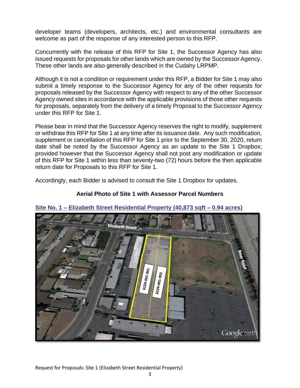developer teams (developers, architects, etc.) and environmental consultants are welcome as part of the response of any interested person to this RFP.

Concurrently with the release of this RFP for Site 1, the Successor Agency has also issued requests for proposals for other lands which are owned by the Successor Agency. These other lands are also generally described in the Cudahy LRPMP.

Although it is not a condition or requirement under this RFP, a Bidder for Site 1 may also submit a timely response to the Successor Agency for any of the other requests for proposals released by the Successor Agency with respect to any of the other Successor Agency owned sites in accordance with the applicable provisions of those other requests for proposals, separately from the delivery of a timely Proposal to the Successor Agency under this RFP for Site 1.

Please bear in mind that the Successor Agency reserves the right to modify, supplement or withdraw this RFP for Site 1 at any time after its issuance date. Any such modification, supplement or cancellation of this RFP for Site 1 prior to the September 30, 2020, return date shall be noted by the Successor Agency as an update to the Site 1 Dropbox; provided however that the Successor Agency shall not post any modification or update of this RFP for Site 1 within less than seventy-two (72) hours before the then applicable return date for Proposals to this RFP for Site 1.

Accordingly, each Bidder is advised to consult the Site 1 Dropbox for updates.

#### **Aerial Photo of Site 1 with Assessor Parcel Numbers**



#### **Site No. 1 – Elizabeth Street Residential Property (40,873 sqft – 0.94 acres)**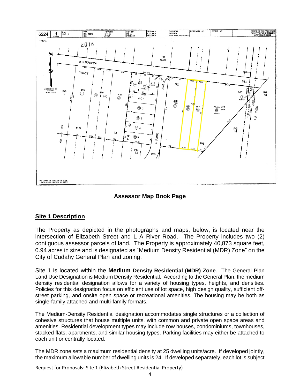

**Assessor Map Book Page**

#### **Site 1 Description**

The Property as depicted in the photographs and maps, below, is located near the intersection of Elizabeth Street and L A River Road. The Property includes two (2) contiguous assessor parcels of land. The Property is approximately 40,873 square feet, 0.94 acres in size and is designated as "Medium Density Residential (MDR) Zone" on the City of Cudahy General Plan and zoning.

Site 1 is located within the **Medium Density Residential (MDR) Zone**. The General Plan Land Use Designation is Medium Density Residential. According to the General Plan, the medium density residential designation allows for a variety of housing types, heights, and densities. Policies for this designation focus on efficient use of lot space, high design quality, sufficient offstreet parking, and onsite open space or recreational amenities. The housing may be both as single-family attached and multi-family formats.

The Medium-Density Residential designation accommodates single structures or a collection of cohesive structures that house multiple units, with common and private open space areas and amenities. Residential development types may include row houses, condominiums, townhouses, stacked flats, apartments, and similar housing types. Parking facilities may either be attached to each unit or centrally located.

The MDR zone sets a maximum residential density at 25 dwelling units/acre. If developed jointly, the maximum allowable number of dwelling units is 24. If developed separately, each lot is subject

Request for Proposals: Site 1 (Elizabeth Street Residential Property)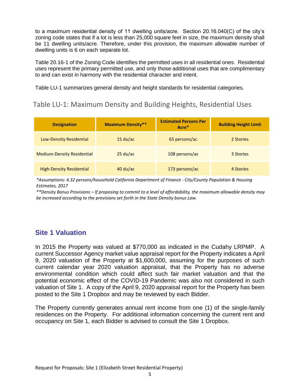to a maximum residential density of 11 dwelling units/acre. Section 20.16.040(C) of the city's zoning code states that if a lot is less than 25,000 square feet in size, the maximum density shall be 11 dwelling units/acre. Therefore, under this provision, the maximum allowable number of dwelling units is 6 on each separate lot.

Table 20.16-1 of the Zoning Code identifies the permitted uses in all residential ones. Residential uses represent the primary permitted use, and only those additional uses that are complimentary to and can exist in harmony with the residential character and intent.

Table LU-1 summarizes general density and height standards for residential categories.

### Table LU-1: Maximum Density and Building Heights, Residential Uses

| <b>Designation</b>                | <b>Maximum Density**</b>         | <b>Estimated Persons Per</b><br>Acre* | <b>Building Height Limit</b> |
|-----------------------------------|----------------------------------|---------------------------------------|------------------------------|
| Low-Density Residential           | 15 du/ac                         | 65 persons/ac                         | 2 Stories                    |
| <b>Medium-Density Residential</b> | $25 \frac{\text{du}}{\text{ac}}$ | 108 persons/ac                        | 3 Stories                    |
| <b>High-Density Residential</b>   | $40 \, du/ac$                    | 173 persons/ac                        | 4 Stories                    |

*\*Assumptions: 4.32 persons/household California Department of Finance - City/County Population & Housing Estimates, 2017*

*\*\*Density Bonus Provisions – If proposing to commit to a level of affordability, the maximum allowable density may be increased according to the provisions set forth in the State Density bonus Law.* 

### **Site 1 Valuation**

In 2015 the Property was valued at \$770,000 as indicated in the Cudahy LRPMP. A current Successor Agency market value appraisal report for the Property indicates a April 9, 2020 valuation of the Property at \$1,600,000, assuming for the purposes of such current calendar year 2020 valuation appraisal, that the Property has no adverse environmental condition which could affect such fair market valuation and that the potential economic effect of the COVID-19 Pandemic was also not considered in such valuation of Site 1. A copy of the April 9, 2020 appraisal report for the Property has been posted to the Site 1 Dropbox and may be reviewed by each Bidder.

The Property currently generates annual rent income from one (1) of the single-family residences on the Property. For additional information concerning the current rent and occupancy on Site 1, each Bidder is advised to consult the Site 1 Dropbox.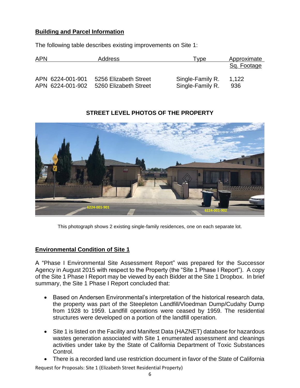#### **Building and Parcel Information**

The following table describes existing improvements on Site 1:

| <b>APN</b> |                                      | Address                                        | l vpe                                | Approximate  |
|------------|--------------------------------------|------------------------------------------------|--------------------------------------|--------------|
|            |                                      |                                                |                                      | Sq. Footage  |
|            | APN 6224-001-901<br>APN 6224-001-902 | 5256 Elizabeth Street<br>5260 Elizabeth Street | Single-Family R.<br>Single-Family R. | 1.122<br>936 |

#### **STREET LEVEL PHOTOS OF THE PROPERTY**



This photograph shows 2 existing single-family residences, one on each separate lot.

#### **Environmental Condition of Site 1**

A "Phase I Environmental Site Assessment Report" was prepared for the Successor Agency in August 2015 with respect to the Property (the "Site 1 Phase I Report"). A copy of the Site 1 Phase I Report may be viewed by each Bidder at the Site 1 Dropbox. In brief summary, the Site 1 Phase I Report concluded that:

- Based on Andersen Environmental's interpretation of the historical research data, the property was part of the Steepleton Landfill/Vloedman Dump/Cudahy Dump from 1928 to 1959. Landfill operations were ceased by 1959. The residential structures were developed on a portion of the landfill operation.
- Site 1 is listed on the Facility and Manifest Data (HAZNET) database for hazardous wastes generation associated with Site 1 enumerated assessment and cleanings activities under take by the State of California Department of Toxic Substances Control.
- There is a recorded land use restriction document in favor of the State of California

Request for Proposals: Site 1 (Elizabeth Street Residential Property)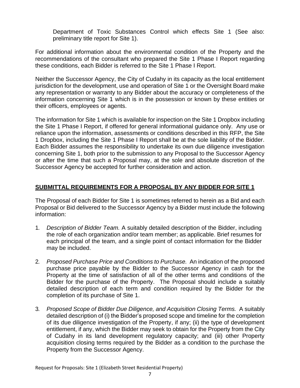Department of Toxic Substances Control which effects Site 1 (See also: preliminary title report for Site 1).

For additional information about the environmental condition of the Property and the recommendations of the consultant who prepared the Site 1 Phase I Report regarding these conditions, each Bidder is referred to the Site 1 Phase I Report.

Neither the Successor Agency, the City of Cudahy in its capacity as the local entitlement jurisdiction for the development, use and operation of Site 1 or the Oversight Board make any representation or warranty to any Bidder about the accuracy or completeness of the information concerning Site 1 which is in the possession or known by these entities or their officers, employees or agents.

The information for Site 1 which is available for inspection on the Site 1 Dropbox including the Site 1 Phase I Report, if offered for general informational guidance only. Any use or reliance upon the information, assessments or conditions described in this RFP, the Site 1 Dropbox, including the Site 1 Phase I Report shall be at the sole liability of the Bidder. Each Bidder assumes the responsibility to undertake its own due diligence investigation concerning Site 1, both prior to the submission to any Proposal to the Successor Agency or after the time that such a Proposal may, at the sole and absolute discretion of the Successor Agency be accepted for further consideration and action.

#### **SUBMITTAL REQUIREMENTS FOR A PROPOSAL BY ANY BIDDER FOR SITE 1**

The Proposal of each Bidder for Site 1 is sometimes referred to herein as a Bid and each Proposal or Bid delivered to the Successor Agency by a Bidder must include the following information:

- 1. *Description of Bidder Team.* A suitably detailed description of the Bidder, including the role of each organization and/or team member; as applicable. Brief resumes for each principal of the team, and a single point of contact information for the Bidder may be included.
- 2. *Proposed Purchase Price and Conditions to Purchase.* An indication of the proposed purchase price payable by the Bidder to the Successor Agency in cash for the Property at the time of satisfaction of all of the other terms and conditions of the Bidder for the purchase of the Property. The Proposal should include a suitably detailed description of each term and condition required by the Bidder for the completion of its purchase of Site 1.
- 3. *Proposed Scope of Bidder Due Diligence, and Acquisition Closing Terms.* A suitably detailed description of (i) the Bidder's proposed scope and timeline for the completion of its due diligence investigation of the Property, if any; (ii) the type of development entitlement, if any, which the Bidder may seek to obtain for the Property from the City of Cudahy in its land development regulatory capacity; and (iii) other Property acquisition closing terms required by the Bidder as a condition to the purchase the Property from the Successor Agency.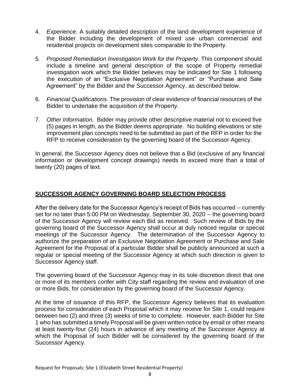- 4. *Experience.* A suitably detailed description of the land development experience of the Bidder including the development of mixed use urban commercial and residential projects on development sites comparable to the Property.
- 5. *Proposed Remediation Investigation Work for the Property*. This component should include a timeline and general description of the scope of Property remedial investigation work which the Bidder believes may be indicated for Site 1 following the execution of an "Exclusive Negotiation Agreement" or "Purchase and Sale Agreement" by the Bidder and the Successor Agency, as described below.
- 6. *Financial Qualifications.* The provision of clear evidence of financial resources of the Bidder to undertake the acquisition of the Property.
- 7. *Other Information.* Bidder may provide other descriptive material not to exceed five (5) pages in length, as the Bidder deems appropriate. No building elevations or site improvement plan concepts need to be submitted as part of the RFP in order for the RFP to receive consideration by the governing board of the Successor Agency.

In general, the Successor Agency does not believe that a Bid (exclusive of any financial information or development concept drawings) needs to exceed more than a total of twenty (20) pages of text.

#### **SUCCESSOR AGENCY GOVERNING BOARD SELECTION PROCESS**

After the delivery date for the Successor Agency's receipt of Bids has occurred -- currently set for no later than 5:00 PM on Wednesday, September 30, 2020 -- the governing board of the Successor Agency will review each Bid as received. Such review of Bids by the governing board of the Successor Agency shall occur at duly noticed regular or special meetings of the Successor Agency. The determination of the Successor Agency to authorize the preparation of an Exclusive Negotiation Agreement or Purchase and Sale Agreement for the Proposal of a particular Bidder shall be publicly announced at such a regular or special meeting of the Successor Agency at which such direction is given to Successor Agency staff.

The governing board of the Successor Agency may in its sole discretion direct that one or more of its members confer with City staff regarding the review and evaluation of one or more Bids, for consideration by the governing board of the Successor Agency.

At the time of issuance of this RFP, the Successor Agency believes that its evaluation process for consideration of each Proposal which it may receive for Site 1, could require between two (2) and three (3) weeks of time to complete. However, each Bidder for Site 1 who has submitted a timely Proposal will be given written notice by email or other means at least twenty-four (24) hours in advance of any meeting of the Successor Agency at which the Proposal of such Bidder will be considered by the governing board of the Successor Agency.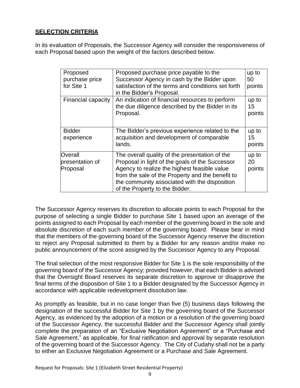#### **SELECTION CRITERIA**

In its evaluation of Proposals, the Successor Agency will consider the responsiveness of each Proposal based upon the weight of the factors described below.

| Proposed<br>purchase price<br>for Site 1 | Proposed purchase price payable to the<br>Successor Agency in cash by the Bidder upon<br>satisfaction of the terms and conditions set forth<br>in the Bidder's Proposal.                                                                                                                 | up to<br>50<br>points |
|------------------------------------------|------------------------------------------------------------------------------------------------------------------------------------------------------------------------------------------------------------------------------------------------------------------------------------------|-----------------------|
| Financial capacity                       | An indication of financial resources to perform<br>the due diligence described by the Bidder in its<br>Proposal.                                                                                                                                                                         | up to<br>15<br>points |
| <b>Bidder</b><br>experience              | The Bidder's previous experience related to the<br>acquisition and development of comparable<br>lands.                                                                                                                                                                                   | up to<br>15<br>points |
| Overall<br>presentation of<br>Proposal   | The overall quality of the presentation of the<br>Proposal in light of the goals of the Successor<br>Agency to realize the highest feasible value<br>from the sale of the Property and the benefit to<br>the community associated with the disposition<br>of the Property to the Bidder. | up to<br>20<br>points |

The Successor Agency reserves its discretion to allocate points to each Proposal for the purpose of selecting a single Bidder to purchase Site 1 based upon an average of the points assigned to each Proposal by each member of the governing board in the sole and absolute discretion of each such member of the governing board. Please bear in mind that the members of the governing board of the Successor Agency reserve the discretion to reject any Proposal submitted to them by a Bidder for any reason and/or make no public announcement of the score assigned by the Successor Agency to any Proposal.

The final selection of the most responsive Bidder for Site 1 is the sole responsibility of the governing board of the Successor Agency; provided however, that each Bidder is advised that the Oversight Board reserves its separate discretion to approve or disapprove the final terms of the disposition of Site 1 to a Bidder designated by the Successor Agency in accordance with applicable redevelopment dissolution law.

As promptly as feasible, but in no case longer than five (5) business days following the designation of the successful Bidder for Site 1 by the governing board of the Successor Agency, as evidenced by the adoption of a motion or a resolution of the governing board of the Successor Agency, the successful Bidder and the Successor Agency shall jointly complete the preparation of an "Exclusive Negotiation Agreement" or a "Purchase and Sale Agreement," as applicable, for final ratification and approval by separate resolution of the governing board of the Successor Agency. The City of Cudahy shall not be a party to either an Exclusive Negotiation Agreement or a Purchase and Sale Agreement.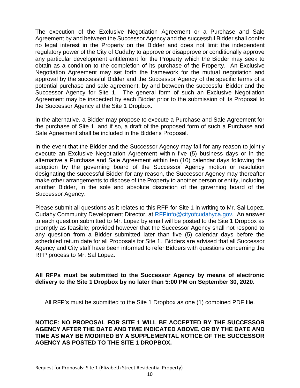The execution of the Exclusive Negotiation Agreement or a Purchase and Sale Agreement by and between the Successor Agency and the successful Bidder shall confer no legal interest in the Property on the Bidder and does not limit the independent regulatory power of the City of Cudahy to approve or disapprove or conditionally approve any particular development entitlement for the Property which the Bidder may seek to obtain as a condition to the completion of its purchase of the Property. An Exclusive Negotiation Agreement may set forth the framework for the mutual negotiation and approval by the successful Bidder and the Successor Agency of the specific terms of a potential purchase and sale agreement, by and between the successful Bidder and the Successor Agency for Site 1. The general form of such an Exclusive Negotiation Agreement may be inspected by each Bidder prior to the submission of its Proposal to the Successor Agency at the Site 1 Dropbox.

In the alternative, a Bidder may propose to execute a Purchase and Sale Agreement for the purchase of Site 1, and if so, a draft of the proposed form of such a Purchase and Sale Agreement shall be included in the Bidder's Proposal.

In the event that the Bidder and the Successor Agency may fail for any reason to jointly execute an Exclusive Negotiation Agreement within five (5) business days or in the alternative a Purchase and Sale Agreement within ten (10) calendar days following the adoption by the governing board of the Successor Agency motion or resolution designating the successful Bidder for any reason, the Successor Agency may thereafter make other arrangements to dispose of the Property to another person or entity, including another Bidder, in the sole and absolute discretion of the governing board of the Successor Agency.

Please submit all questions as it relates to this RFP for Site 1 in writing to Mr. Sal Lopez, Cudahy Community Development Director, at [RFPinfo@cityofcudahyca.gov.](mailto:RFPinfo@cityofcudahyca.gov) An answer to each question submitted to Mr. Lopez by email will be posted to the Site 1 Dropbox as promptly as feasible; provided however that the Successor Agency shall not respond to any question from a Bidder submitted later than five (5) calendar days before the scheduled return date for all Proposals for Site 1. Bidders are advised that all Successor Agency and City staff have been informed to refer Bidders with questions concerning the RFP process to Mr. Sal Lopez.

#### **All RFPs must be submitted to the Successor Agency by means of electronic delivery to the Site 1 Dropbox by no later than 5:00 PM on September 30, 2020.**

All RFP's must be submitted to the Site 1 Dropbox as one (1) combined PDF file.

#### **NOTICE: NO PROPOSAL FOR SITE 1 WILL BE ACCEPTED BY THE SUCCESSOR AGENCY AFTER THE DATE AND TIME INDICATED ABOVE, OR BY THE DATE AND TIME AS MAY BE MODIFIED BY A SUPPLEMENTAL NOTICE OF THE SUCCESSOR AGENCY AS POSTED TO THE SITE 1 DROPBOX.**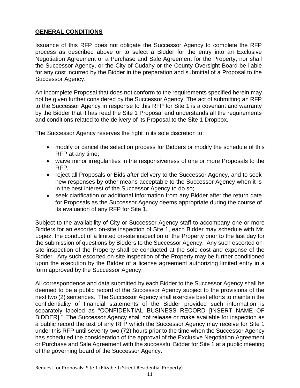#### **GENERAL CONDITIONS**

Issuance of this RFP does not obligate the Successor Agency to complete the RFP process as described above or to select a Bidder for the entry into an Exclusive Negotiation Agreement or a Purchase and Sale Agreement for the Property, nor shall the Successor Agency, or the City of Cudahy or the County Oversight Board be liable for any cost incurred by the Bidder in the preparation and submittal of a Proposal to the Successor Agency.

An incomplete Proposal that does not conform to the requirements specified herein may not be given further considered by the Successor Agency. The act of submitting an RFP to the Successor Agency in response to this RFP for Site 1 is a covenant and warranty by the Bidder that it has read the Site 1 Proposal and understands all the requirements and conditions related to the delivery of its Proposal to the Site 1 Dropbox.

The Successor Agency reserves the right in its sole discretion to:

- modify or cancel the selection process for Bidders or modify the schedule of this RFP at any time;
- waive minor irregularities in the responsiveness of one or more Proposals to the RFP;
- reject all Proposals or Bids after delivery to the Successor Agency, and to seek new responses by other means acceptable to the Successor Agency when it is in the best interest of the Successor Agency to do so;
- seek clarification or additional information from any Bidder after the return date for Proposals as the Successor Agency deems appropriate during the course of its evaluation of any RFP for Site 1.

Subject to the availability of City or Successor Agency staff to accompany one or more Bidders for an escorted on-site inspection of Site 1, each Bidder may schedule with Mr. Lopez, the conduct of a limited on-site inspection of the Property prior to the last day for the submission of questions by Bidders to the Successor Agency. Any such escorted onsite inspection of the Property shall be conducted at the sole cost and expense of the Bidder. Any such escorted on-site inspection of the Property may be further conditioned upon the execution by the Bidder of a license agreement authorizing limited entry in a form approved by the Successor Agency.

All correspondence and data submitted by each Bidder to the Successor Agency shall be deemed to be a public record of the Successor Agency subject to the provisions of the next two (2) sentences. The Successor Agency shall exercise best efforts to maintain the confidentiality of financial statements of the Bidder provided such information is separately labeled as "CONFIDENTIAL BUSINESS RECORD [INSERT NAME OF BIDDER]." The Successor Agency shall not release or make available for inspection as a public record the text of any RFP which the Successor Agency may receive for Site 1 under this RFP until seventy-two (72) hours prior to the time when the Successor Agency has scheduled the consideration of the approval of the Exclusive Negotiation Agreement or Purchase and Sale Agreement with the successful Bidder for Site 1 at a public meeting of the governing board of the Successor Agency.